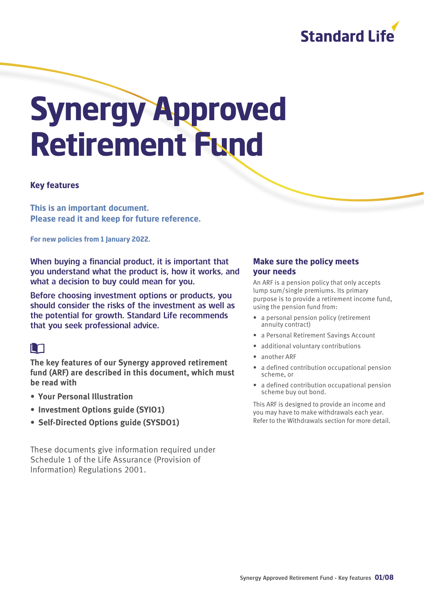

# **Synergy Approved Retirement Fund**

#### **Key features**

**This is an important document. Please read it and keep for future reference.** 

**For new policies from 1 January 2022.**

When buying a financial product, it is important that you understand what the product is, how it works, and what a decision to buy could mean for you.

Before choosing investment options or products, you should consider the risks of the investment as well as the potential for growth. Standard Life recommends that you seek professional advice.

#### m

**The key features of our Synergy approved retirement fund (ARF) are described in this document, which must be read with**

- **Your Personal Illustration**
- **Investment Options guide (SYIO1)**
- **Self-Directed Options guide (SYSDO1)**

These documents give information required under Schedule 1 of the Life Assurance (Provision of Information) Regulations 2001.

#### **Make sure the policy meets your needs**

An ARF is a pension policy that only accepts lump sum/single premiums. Its primary purpose is to provide a retirement income fund, using the pension fund from:

- a personal pension policy (retirement annuity contract)
- a Personal Retirement Savings Account
- additional voluntary contributions
- another ARF
- a defined contribution occupational pension scheme, or
- a defined contribution occupational pension scheme buy out bond.

This ARF is designed to provide an income and you may have to make withdrawals each year. Refer to the Withdrawals section for more detail.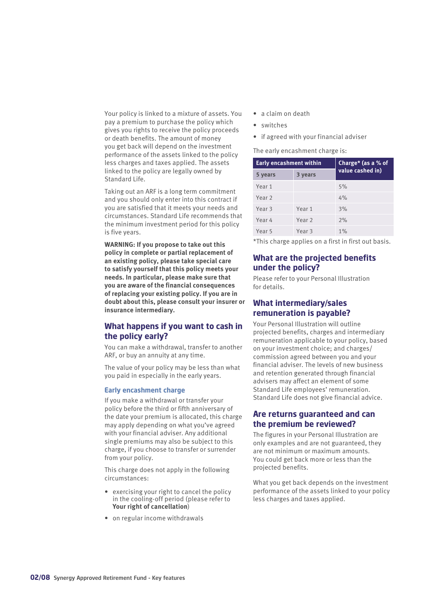Your policy is linked to a mixture of assets. You pay a premium to purchase the policy which gives you rights to receive the policy proceeds or death benefits. The amount of money you get back will depend on the investment performance of the assets linked to the policy less charges and taxes applied. The assets linked to the policy are legally owned by Standard Life.

Taking out an ARF is a long term commitment and you should only enter into this contract if you are satisfied that it meets your needs and circumstances. Standard Life recommends that the minimum investment period for this policy is five years.

**WARNING: If you propose to take out this policy in complete or partial replacement of an existing policy, please take special care to satisfy yourself that this policy meets your needs. In particular, please make sure that you are aware of the financial consequences of replacing your existing policy. If you are in doubt about this, please consult your insurer or insurance intermediary.**

#### **What happens if you want to cash in the policy early?**

You can make a withdrawal, transfer to another ARF, or buy an annuity at any time.

The value of your policy may be less than what you paid in especially in the early years.

#### **Early encashment charge**

If you make a withdrawal or transfer your policy before the third or fifth anniversary of the date your premium is allocated, this charge may apply depending on what you've agreed with your financial adviser. Any additional single premiums may also be subject to this charge, if you choose to transfer or surrender from your policy.

This charge does not apply in the following circumstances:

- exercising your right to cancel the policy in the cooling-off period (please refer to **Your right of cancellation**)
- on regular income withdrawals
- a claim on death
- switches
- if agreed with your financial adviser

The early encashment charge is:

| <b>Early encashment within</b> |                   | Charge* (as a % of |
|--------------------------------|-------------------|--------------------|
| 5 years                        | 3 years           | value cashed in)   |
| Year 1                         |                   | 5%                 |
| Year <sub>2</sub>              |                   | 4%                 |
| Year <sub>3</sub>              | Year <sub>1</sub> | 3%                 |
| Year 4                         | Year <sub>2</sub> | 2%                 |
| Year 5                         | Year <sub>3</sub> | 1%                 |

\*This charge applies on a first in first out basis.

#### **What are the projected benefits under the policy?**

Please refer to your Personal Illustration for details.

#### **What intermediary/sales remuneration is payable?**

Your Personal Illustration will outline projected benefits, charges and intermediary remuneration applicable to your policy, based on your investment choice; and charges/ commission agreed between you and your financial adviser. The levels of new business and retention generated through financial advisers may affect an element of some Standard Life employees' remuneration. Standard Life does not give financial advice.

#### **Are returns guaranteed and can the premium be reviewed?**

The figures in your Personal Illustration are only examples and are not guaranteed, they are not minimum or maximum amounts. You could get back more or less than the projected benefits.

What you get back depends on the investment performance of the assets linked to your policy less charges and taxes applied.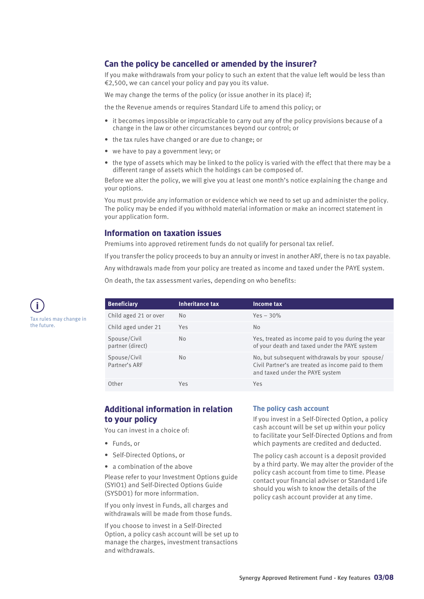#### **Can the policy be cancelled or amended by the insurer?**

If you make withdrawals from your policy to such an extent that the value left would be less than €2,500, we can cancel your policy and pay you its value.

We may change the terms of the policy (or issue another in its place) if;

the the Revenue amends or requires Standard Life to amend this policy; or

- it becomes impossible or impracticable to carry out any of the policy provisions because of a change in the law or other circumstances beyond our control; or
- the tax rules have changed or are due to change; or
- we have to pay a government levy; or
- the type of assets which may be linked to the policy is varied with the effect that there may be a different range of assets which the holdings can be composed of.

Before we alter the policy, we will give you at least one month's notice explaining the change and your options.

You must provide any information or evidence which we need to set up and administer the policy. The policy may be ended if you withhold material information or make an incorrect statement in your application form.

#### **Information on taxation issues**

Premiums into approved retirement funds do not qualify for personal tax relief.

If you transfer the policy proceeds to buy an annuity or invest in another ARF, there is no tax payable.

Any withdrawals made from your policy are treated as income and taxed under the PAYE system.

On death, the tax assessment varies, depending on who benefits:

| <b>Beneficiary</b>               | <b>Inheritance tax</b> | Income tax                                                                                                                              |
|----------------------------------|------------------------|-----------------------------------------------------------------------------------------------------------------------------------------|
| Child aged 21 or over            | N <sub>o</sub>         | $Yes - 30%$                                                                                                                             |
| Child aged under 21              | Yes                    | N <sub>o</sub>                                                                                                                          |
| Spouse/Civil<br>partner (direct) | No.                    | Yes, treated as income paid to you during the year<br>of your death and taxed under the PAYE system                                     |
| Spouse/Civil<br>Partner's ARF    | N <sub>o</sub>         | No, but subsequent withdrawals by your spouse/<br>Civil Partner's are treated as income paid to them<br>and taxed under the PAYE system |
| Other                            | Yes                    | Yes                                                                                                                                     |

#### **Additional information in relation to your policy**

You can invest in a choice of:

- Funds, or
- Self-Directed Options, or
- a combination of the above

Please refer to your Investment Options guide (SYIO1) and Self-Directed Options Guide (SYSDO1) for more inforrmation.

If you only invest in Funds, all charges and withdrawals will be made from those funds.

If you choose to invest in a Self-Directed Option, a policy cash account will be set up to manage the charges, investment transactions and withdrawals.

#### **The policy cash account**

If you invest in a Self-Directed Option, a policy cash account will be set up within your policy to facilitate your Self-Directed Options and from which payments are credited and deducted.

The policy cash account is a deposit provided by a third party. We may alter the provider of the policy cash account from time to time. Please contact your financial adviser or Standard Life should you wish to know the details of the policy cash account provider at any time.

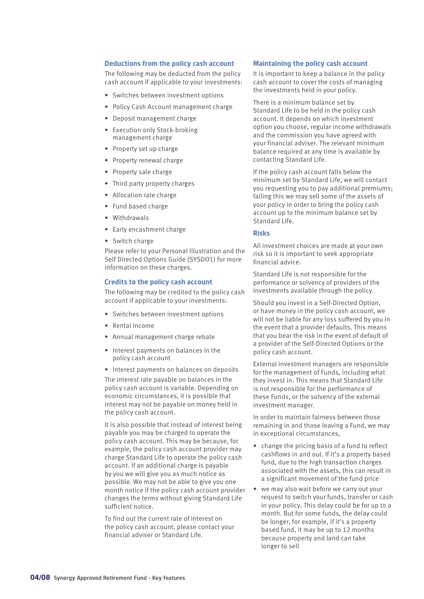#### **Deductions from the policy cash account**

The following may be deducted from the policy cash account if applicable to your investments:

- Switches between investment options
- Policy Cash Account management charge
- Deposit management charge
- Execution only Stock-broking management charge
- Property set up charge
- Property renewal charge
- Property sale charge
- Third party property charges
- Allocation rate charge
- Fund based charge
- Withdrawals
- Early encashment charge
- Switch charge

Please refer to your Personal Illustration and the Self Directed Options Guide (SYSDO1) for more information on these charges.

#### **Credits to the policy cash account**

The following may be credited to the policy cash account if applicable to your investments:

- Switches between investment options
- Rental Income
- Annual management charge rebate
- Interest payments on balances in the policy cash account

• Interest payments on balances on deposits The interest rate payable on balances in the policy cash account is variable. Depending on economic circumstances, it is possible that interest may not be payable on money held in

the policy cash account. It is also possible that instead of interest being payable you may be charged to operate the policy cash account. This may be because, for example, the policy cash account provider may charge Standard Life to operate the policy cash account. If an additional charge is payable by you we will give you as much notice as possible. We may not be able to give you one month notice if the policy cash account provider changes the terms without giving Standard Life sufficient notice.

To find out the current rate of interest on the policy cash account, please contact your financial adviser or Standard Life.

#### **Maintaining the policy cash account**

It is important to keep a balance in the policy cash account to cover the costs of managing the investments held in your policy.

There is a minimum balance set by Standard Life to be held in the policy cash account. It depends on which investment option you choose, regular income withdrawals and the commission you have agreed with your financial adviser. The relevant minimum balance required at any time is available by contacting Standard Life.

If the policy cash account falls below the minimum set by Standard Life, we will contact you requesting you to pay additional premiums; failing this we may sell some of the assets of your policy in order to bring the policy cash account up to the minimum balance set by Standard Life.

#### **Risks**

All investment choices are made at your own risk so it is important to seek appropriate financial advice.

Standard Life is not responsible for the performance or solvency of providers of the investments available through the policy.

Should you invest in a Self-Directed Option, or have money in the policy cash account, we will not be liable for any loss suffered by you in the event that a provider defaults. This means that you bear the risk in the event of default of a provider of the Self-Directed Options or the policy cash account.

External investment managers are responsible for the management of Funds, including what they invest in. This means that Standard Life is not responsible for the performance of these Funds, or the solvency of the external investment manager.

In order to maintain fairness between those remaining in and those leaving a Fund, we may in exceptional circumstances,

- change the pricing basis of a fund to reflect cashflows in and out. If it's a property based fund, due to the high transaction charges associated with the assets, this can result in a significant movement of the fund price
- we may also wait before we carry out your request to switch your funds, transfer or cash in your policy. This delay could be for up to a month. But for some funds, the delay could be longer, for example, if it's a property based fund, it may be up to 12 months because property and land can take longer to sell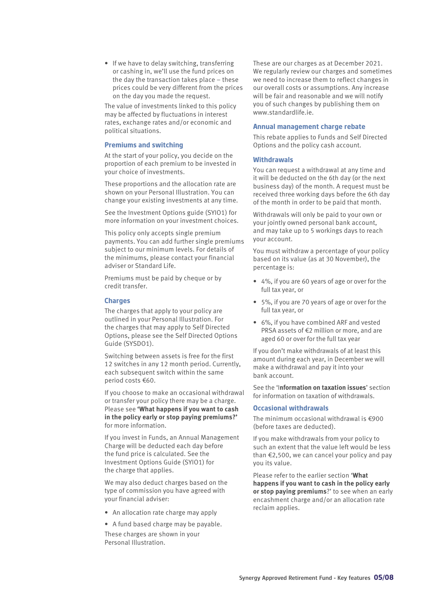• If we have to delay switching, transferring or cashing in, we'll use the fund prices on the day the transaction takes place – these prices could be very different from the prices on the day you made the request.

The value of investments linked to this policy may be affected by fluctuations in interest rates, exchange rates and/or economic and political situations.

#### **Premiums and switching**

At the start of your policy, you decide on the proportion of each premium to be invested in your choice of investments.

These proportions and the allocation rate are shown on your Personal Illustration. You can change your existing investments at any time.

See the Investment Options guide (SYIO1) for more information on your investment choices.

This policy only accepts single premium payments. You can add further single premiums subject to our minimum levels. For details of the minimums, please contact your financial adviser or Standard Life.

Premiums must be paid by cheque or by credit transfer.

#### **Charges**

The charges that apply to your policy are outlined in your Personal Illustration. For the charges that may apply to Self Directed Options, please see the Self Directed Options Guide (SYSDO1).

Switching between assets is free for the first 12 switches in any 12 month period. Currently, each subsequent switch within the same period costs €60.

If you choose to make an occasional withdrawal or transfer your policy there may be a charge. Please see **'What happens if you want to cash in the policy early or stop paying premiums?'** for more information.

If you invest in Funds, an Annual Management Charge will be deducted each day before the fund price is calculated. See the Investment Options Guide (SYIO1) for the charge that applies.

We may also deduct charges based on the type of commission you have agreed with your financial adviser:

- An allocation rate charge may apply
- A fund based charge may be payable.

These charges are shown in your Personal Illustration.

These are our charges as at December 2021. We regularly review our charges and sometimes we need to increase them to reflect changes in our overall costs or assumptions. Any increase will be fair and reasonable and we will notify you of such changes by publishing them on [www.standardlife.ie](http://www.standardlife.ie).

#### **Annual management charge rebate**

This rebate applies to Funds and Self Directed Options and the policy cash account.

#### **Withdrawals**

You can request a withdrawal at any time and it will be deducted on the 6th day (or the next business day) of the month. A request must be received three working days before the 6th day of the month in order to be paid that month.

Withdrawals will only be paid to your own or your jointly owned personal bank account, and may take up to 5 workings days to reach your account.

You must withdraw a percentage of your policy based on its value (as at 30 November), the percentage is:

- 4%, if you are 60 years of age or over for the full tax year, or
- 5%, if you are 70 years of age or over for the full tax year, or
- 6%, if you have combined ARF and vested PRSA assets of €2 million or more, and are aged 60 or over for the full tax year

If you don't make withdrawals of at least this amount during each year, in December we will make a withdrawal and pay it into your bank account.

See the 'I**nformation on taxation issues**' section for information on taxation of withdrawals.

#### **Occasional withdrawals**

The minimum occasional withdrawal is €900 (before taxes are deducted).

If you make withdrawals from your policy to such an extent that the value left would be less than €2,500, we can cancel your policy and pay you its value.

Please refer to the earlier section '**What happens if you want to cash in the policy early or stop paying premiums**?' to see when an early encashment charge and/or an allocation rate reclaim applies.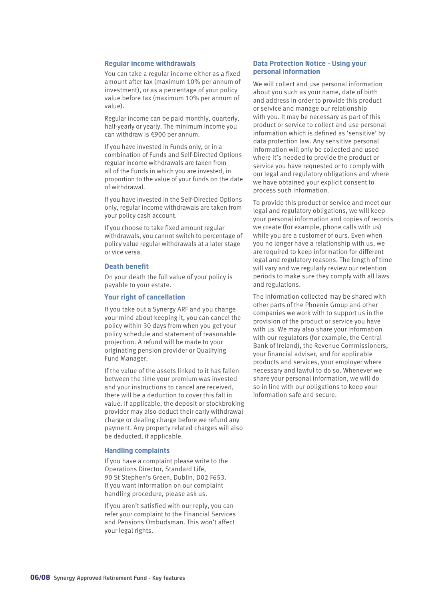#### **Regular income withdrawals**

You can take a regular income either as a fixed amount after tax (maximum 10% per annum of investment), or as a percentage of your policy value before tax (maximum 10% per annum of value).

Regular income can be paid monthly, quarterly, half-yearly or yearly. The minimum income you can withdraw is €900 per annum.

If you have invested in Funds only, or in a combination of Funds and Self-Directed Options regular income withdrawals are taken from all of the Funds in which you are invested, in proportion to the value of your funds on the date of withdrawal.

If you have invested in the Self-Directed Options only, regular income withdrawals are taken from your policy cash account.

If you choose to take fixed amount regular withdrawals, you cannot switch to percentage of policy value regular withdrawals at a later stage or vice versa.

#### **Death benefit**

On your death the full value of your policy is payable to your estate.

#### **Your right of cancellation**

If you take out a Synergy ARF and you change your mind about keeping it, you can cancel the policy within 30 days from when you get your policy schedule and statement of reasonable projection. A refund will be made to your originating pension provider or Qualifying Fund Manager.

If the value of the assets linked to it has fallen between the time your premium was invested and your instructions to cancel are received, there will be a deduction to cover this fall in value. If applicable, the deposit or stockbroking provider may also deduct their early withdrawal charge or dealing charge before we refund any payment. Any property related charges will also be deducted, if applicable.

#### **Handling complaints**

If you have a complaint please write to the Operations Director, Standard Life, 90 St Stephen's Green, Dublin, D02 F653. If you want information on our complaint handling procedure, please ask us.

If you aren't satisfied with our reply, you can refer your complaint to the Financial Services and Pensions Ombudsman. This won't affect your legal rights.

#### **Data Protection Notice - Using your personal information**

We will collect and use personal information about you such as your name, date of birth and address in order to provide this product or service and manage our relationship with you. It may be necessary as part of this product or service to collect and use personal information which is defined as 'sensitive' by data protection law. Any sensitive personal information will only be collected and used where it's needed to provide the product or service you have requested or to comply with our legal and regulatory obligations and where we have obtained your explicit consent to process such information.

To provide this product or service and meet our legal and regulatory obligations, we will keep your personal information and copies of records we create (for example, phone calls with us) while you are a customer of ours. Even when you no longer have a relationship with us, we are required to keep information for different legal and regulatory reasons. The length of time will vary and we regularly review our retention periods to make sure they comply with all laws and regulations.

The information collected may be shared with other parts of the Phoenix Group and other companies we work with to support us in the provision of the product or service you have with us. We may also share your information with our regulators (for example, the Central Bank of Ireland), the Revenue Commissioners, your financial adviser, and for applicable products and services, your employer where necessary and lawful to do so. Whenever we share your personal information, we will do so in line with our obligations to keep your information safe and secure.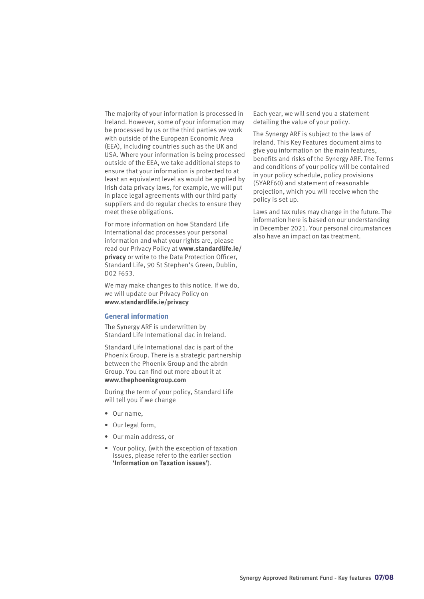The majority of your information is processed in Ireland. However, some of your information may be processed by us or the third parties we work with outside of the European Economic Area (EEA), including countries such as the UK and USA. Where your information is being processed outside of the EEA, we take additional steps to ensure that your information is protected to at least an equivalent level as would be applied by Irish data privacy laws, for example, we will put in place legal agreements with our third party suppliers and do regular checks to ensure they meet these obligations.

For more information on how Standard Life International dac processes your personal information and what your rights are, please read our Privacy Policy at **www.standardlife.ie/ privacy** or write to the Data Protection Officer, Standard Life, 90 St Stephen's Green, Dublin, D02 F653.

We may make changes to this notice. If we do, we will update our Privacy Policy on **www.standardlife.ie/privacy**

#### **General information**

The Synergy ARF is underwritten by Standard Life International dac in Ireland.

Standard Life International dac is part of the Phoenix Group. There is a strategic partnership between the Phoenix Group and the abrdn Group. You can find out more about it at **www.thephoenixgroup.com**

During the term of your policy, Standard Life will tell you if we change

- Our name,
- Our legal form,
- Our main address, or
- Your policy, (with the exception of taxation issues, please refer to the earlier section **'Information on Taxation issues'**).

Each year, we will send you a statement detailing the value of your policy.

The Synergy ARF is subject to the laws of Ireland. This Key Features document aims to give you information on the main features, benefits and risks of the Synergy ARF. The Terms and conditions of your policy will be contained in your policy schedule, policy provisions (SYARF60) and statement of reasonable projection, which you will receive when the policy is set up.

Laws and tax rules may change in the future. The information here is based on our understanding in December 2021. Your personal circumstances also have an impact on tax treatment.